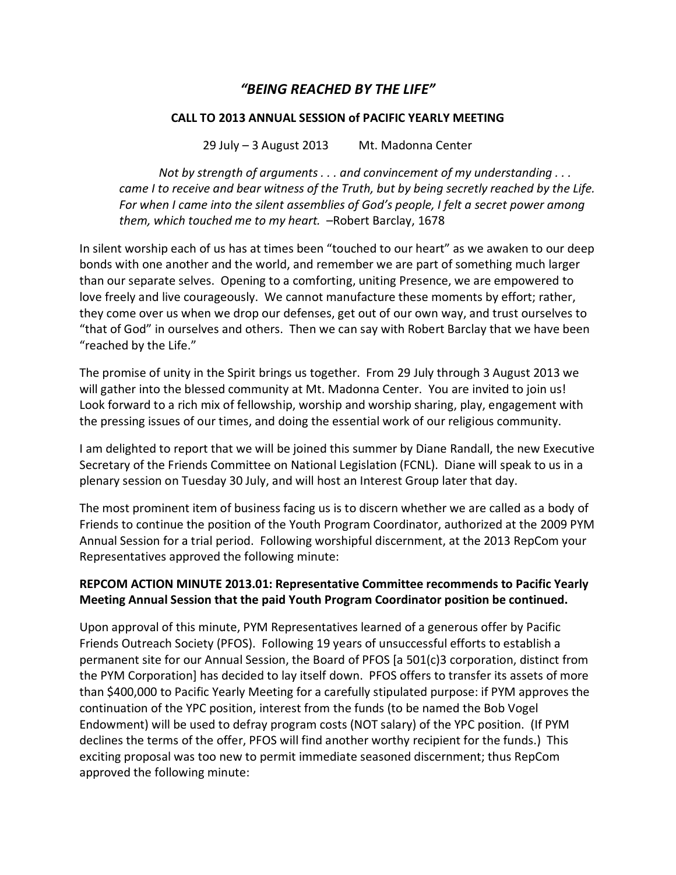## "BEING REACHED BY THE LIFE"

## CALL TO 2013 ANNUAL SESSION of PACIFIC YEARLY MEETING

29 July  $-$  3 August 2013 Mt. Madonna Center

Not by strength of arguments  $\dots$  and convincement of my understanding  $\dots$ came I to receive and bear witness of the Truth, but by being secretly reached by the Life. For when I came into the silent assemblies of God's people, I felt a secret power among them, which touched me to my heart. - Robert Barclay, 1678

In silent worship each of us has at times been "touched to our heart" as we awaken to our deep bonds with one another and the world, and remember we are part of something much larger than our separate selves. Opening to a comforting, uniting Presence, we are empowered to love freely and live courageously. We cannot manufacture these moments by effort; rather, they come over us when we drop our defenses, get out of our own way, and trust ourselves to "that of God" in ourselves and others. Then we can say with Robert Barclay that we have been "reached by the Life."

The promise of unity in the Spirit brings us together. From 29 July through 3 August 2013 we will gather into the blessed community at Mt. Madonna Center. You are invited to join us! Look forward to a rich mix of fellowship, worship and worship sharing, play, engagement with the pressing issues of our times, and doing the essential work of our religious community.

I am delighted to report that we will be joined this summer by Diane Randall, the new Executive Secretary of the Friends Committee on National Legislation (FCNL). Diane will speak to us in a plenary session on Tuesday 30 July, and will host an Interest Group later that day.

The most prominent item of business facing us is to discern whether we are called as a body of Friends to continue the position of the Youth Program Coordinator, authorized at the 2009 PYM Annual Session for a trial period. Following worshipful discernment, at the 2013 RepCom your Representatives approved the following minute:

## REPCOM ACTION MINUTE 2013.01: Representative Committee recommends to Pacific Yearly Meeting Annual Session that the paid Youth Program Coordinator position be continued.

Upon approval of this minute, PYM Representatives learned of a generous offer by Pacific Friends Outreach Society (PFOS). Following 19 years of unsuccessful efforts to establish a permanent site for our Annual Session, the Board of PFOS [a 501(c)3 corporation, distinct from the PYM Corporation] has decided to lay itself down. PFOS offers to transfer its assets of more than \$400,000 to Pacific Yearly Meeting for a carefully stipulated purpose: if PYM approves the continuation of the YPC position, interest from the funds (to be named the Bob Vogel Endowment) will be used to defray program costs (NOT salary) of the YPC position. (If PYM declines the terms of the offer, PFOS will find another worthy recipient for the funds.) This exciting proposal was too new to permit immediate seasoned discernment; thus RepCom approved the following minute: